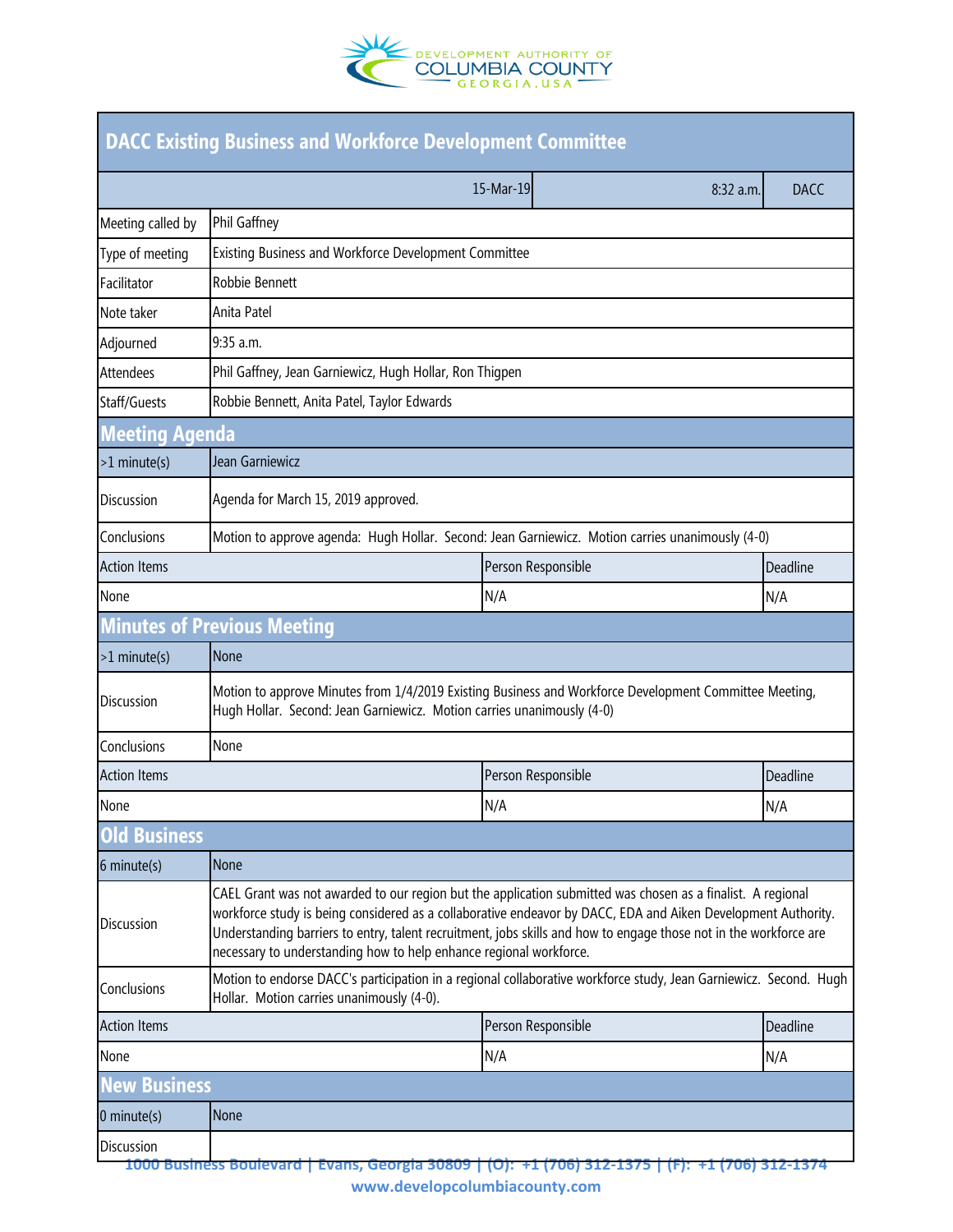

| <b>DACC Existing Business and Workforce Development Committee</b> |                                                                                                                                                                                                                                                                                                                                                                                                                         |                        |             |  |  |
|-------------------------------------------------------------------|-------------------------------------------------------------------------------------------------------------------------------------------------------------------------------------------------------------------------------------------------------------------------------------------------------------------------------------------------------------------------------------------------------------------------|------------------------|-------------|--|--|
|                                                                   |                                                                                                                                                                                                                                                                                                                                                                                                                         | 15-Mar-19<br>8:32 a.m. | <b>DACC</b> |  |  |
| Meeting called by                                                 | Phil Gaffney                                                                                                                                                                                                                                                                                                                                                                                                            |                        |             |  |  |
| Type of meeting                                                   | Existing Business and Workforce Development Committee                                                                                                                                                                                                                                                                                                                                                                   |                        |             |  |  |
| Facilitator                                                       | Robbie Bennett                                                                                                                                                                                                                                                                                                                                                                                                          |                        |             |  |  |
| Note taker                                                        | Anita Patel                                                                                                                                                                                                                                                                                                                                                                                                             |                        |             |  |  |
| Adjourned                                                         | 9:35 a.m.                                                                                                                                                                                                                                                                                                                                                                                                               |                        |             |  |  |
| <b>Attendees</b>                                                  | Phil Gaffney, Jean Garniewicz, Hugh Hollar, Ron Thigpen                                                                                                                                                                                                                                                                                                                                                                 |                        |             |  |  |
| Staff/Guests                                                      | Robbie Bennett, Anita Patel, Taylor Edwards                                                                                                                                                                                                                                                                                                                                                                             |                        |             |  |  |
| <b>Meeting Agenda</b>                                             |                                                                                                                                                                                                                                                                                                                                                                                                                         |                        |             |  |  |
| $>1$ minute(s)                                                    | Jean Garniewicz                                                                                                                                                                                                                                                                                                                                                                                                         |                        |             |  |  |
| <b>Discussion</b>                                                 | Agenda for March 15, 2019 approved.                                                                                                                                                                                                                                                                                                                                                                                     |                        |             |  |  |
| Conclusions                                                       | Motion to approve agenda: Hugh Hollar. Second: Jean Garniewicz. Motion carries unanimously (4-0)                                                                                                                                                                                                                                                                                                                        |                        |             |  |  |
| <b>Action Items</b>                                               |                                                                                                                                                                                                                                                                                                                                                                                                                         | Person Responsible     | Deadline    |  |  |
| None                                                              |                                                                                                                                                                                                                                                                                                                                                                                                                         | N/A                    | N/A         |  |  |
|                                                                   | <b>Minutes of Previous Meeting</b>                                                                                                                                                                                                                                                                                                                                                                                      |                        |             |  |  |
| $>1$ minute(s)                                                    | None                                                                                                                                                                                                                                                                                                                                                                                                                    |                        |             |  |  |
| <b>Discussion</b>                                                 | Motion to approve Minutes from 1/4/2019 Existing Business and Workforce Development Committee Meeting,<br>Hugh Hollar. Second: Jean Garniewicz. Motion carries unanimously (4-0)                                                                                                                                                                                                                                        |                        |             |  |  |
| Conclusions                                                       | None                                                                                                                                                                                                                                                                                                                                                                                                                    |                        |             |  |  |
| <b>Action Items</b>                                               |                                                                                                                                                                                                                                                                                                                                                                                                                         | Person Responsible     | Deadline    |  |  |
| None                                                              |                                                                                                                                                                                                                                                                                                                                                                                                                         | N/A                    | N/A         |  |  |
| <b>Business</b>                                                   |                                                                                                                                                                                                                                                                                                                                                                                                                         |                        |             |  |  |
| $6$ minute $(s)$                                                  | None                                                                                                                                                                                                                                                                                                                                                                                                                    |                        |             |  |  |
| <b>Discussion</b>                                                 | CAEL Grant was not awarded to our region but the application submitted was chosen as a finalist. A regional<br>workforce study is being considered as a collaborative endeavor by DACC, EDA and Aiken Development Authority.<br>Understanding barriers to entry, talent recruitment, jobs skills and how to engage those not in the workforce are<br>necessary to understanding how to help enhance regional workforce. |                        |             |  |  |
| Conclusions                                                       | Motion to endorse DACC's participation in a regional collaborative workforce study, Jean Garniewicz. Second. Hugh<br>Hollar. Motion carries unanimously (4-0).                                                                                                                                                                                                                                                          |                        |             |  |  |
| <b>Action Items</b>                                               |                                                                                                                                                                                                                                                                                                                                                                                                                         | Person Responsible     | Deadline    |  |  |
| None                                                              |                                                                                                                                                                                                                                                                                                                                                                                                                         | N/A                    | N/A         |  |  |
| ew Business                                                       |                                                                                                                                                                                                                                                                                                                                                                                                                         |                        |             |  |  |
| $0$ minute $(s)$                                                  | None                                                                                                                                                                                                                                                                                                                                                                                                                    |                        |             |  |  |
| <b>Discussion</b>                                                 | <u>1000 Business Boulevard   Evans, Georgia 30809   (O):  +1 (706) 312-1375</u>                                                                                                                                                                                                                                                                                                                                         |                        |             |  |  |